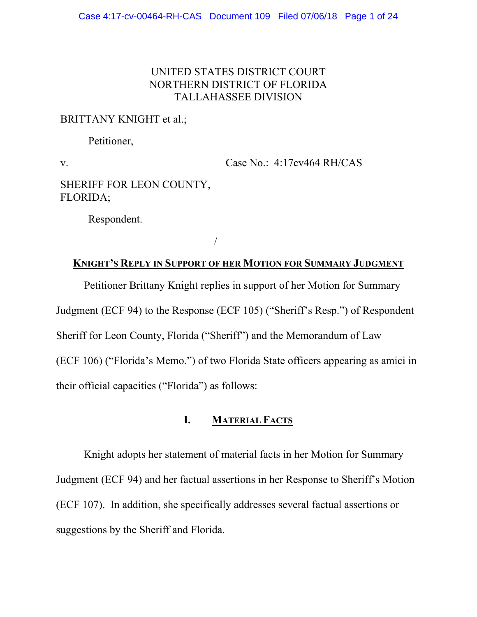## UNITED STATES DISTRICT COURT NORTHERN DISTRICT OF FLORIDA TALLAHASSEE DIVISION

# BRITTANY KNIGHT et al.;

Petitioner,

v.

Case No.: 4:17cv464 RH/CAS

SHERIFF FOR LEON COUNTY, FLORIDA;

Respondent.

/

### **KNIGHT'S REPLY IN SUPPORT OF HER MOTION FOR SUMMARY JUDGMENT**

Petitioner Brittany Knight replies in support of her Motion for Summary Judgment (ECF 94) to the Response (ECF 105) ("Sheriff's Resp.") of Respondent Sheriff for Leon County, Florida ("Sheriff") and the Memorandum of Law (ECF 106) ("Florida's Memo.") of two Florida State officers appearing as amici in their official capacities ("Florida") as follows:

### **I. MATERIAL FACTS**

Knight adopts her statement of material facts in her Motion for Summary Judgment (ECF 94) and her factual assertions in her Response to Sheriff's Motion (ECF 107). In addition, she specifically addresses several factual assertions or suggestions by the Sheriff and Florida.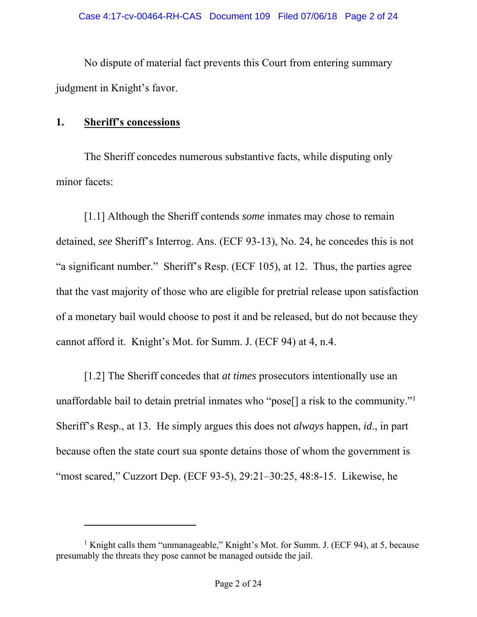No dispute of material fact prevents this Court from entering summary judgment in Knight's favor.

## **1. Sheriff's concessions**

-

The Sheriff concedes numerous substantive facts, while disputing only minor facets:

[1.1] Although the Sheriff contends *some* inmates may chose to remain detained, *see* Sheriff's Interrog. Ans. (ECF 93-13), No. 24, he concedes this is not "a significant number." Sheriff's Resp. (ECF 105), at 12. Thus, the parties agree that the vast majority of those who are eligible for pretrial release upon satisfaction of a monetary bail would choose to post it and be released, but do not because they cannot afford it. Knight's Mot. for Summ. J. (ECF 94) at 4, n.4.

[1.2] The Sheriff concedes that *at times* prosecutors intentionally use an unaffordable bail to detain pretrial inmates who "pose[] a risk to the community."1 Sheriff's Resp., at 13. He simply argues this does not *always* happen, *id*., in part because often the state court sua sponte detains those of whom the government is "most scared," Cuzzort Dep. (ECF 93-5), 29:21–30:25, 48:8-15. Likewise, he

<sup>&</sup>lt;sup>1</sup> Knight calls them "unmanageable," Knight's Mot. for Summ. J. (ECF 94), at 5, because presumably the threats they pose cannot be managed outside the jail.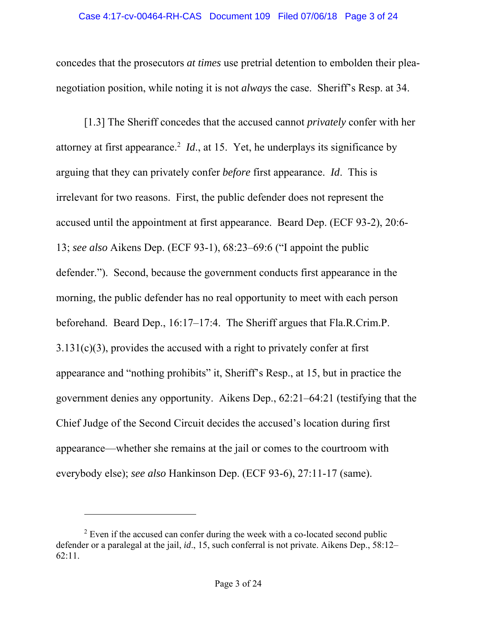#### Case 4:17-cv-00464-RH-CAS Document 109 Filed 07/06/18 Page 3 of 24

concedes that the prosecutors *at times* use pretrial detention to embolden their pleanegotiation position, while noting it is not *always* the case. Sheriff's Resp. at 34.

[1.3] The Sheriff concedes that the accused cannot *privately* confer with her attorney at first appearance.<sup>2</sup> *Id.*, at 15. Yet, he underplays its significance by arguing that they can privately confer *before* first appearance. *Id*. This is irrelevant for two reasons. First, the public defender does not represent the accused until the appointment at first appearance. Beard Dep. (ECF 93-2), 20:6- 13; *see also* Aikens Dep. (ECF 93-1), 68:23–69:6 ("I appoint the public defender."). Second, because the government conducts first appearance in the morning, the public defender has no real opportunity to meet with each person beforehand. Beard Dep., 16:17–17:4. The Sheriff argues that Fla.R.Crim.P.  $3.131(c)(3)$ , provides the accused with a right to privately confer at first appearance and "nothing prohibits" it, Sheriff's Resp., at 15, but in practice the government denies any opportunity. Aikens Dep., 62:21–64:21 (testifying that the Chief Judge of the Second Circuit decides the accused's location during first appearance—whether she remains at the jail or comes to the courtroom with everybody else); *see also* Hankinson Dep. (ECF 93-6), 27:11-17 (same).

-

 $2$  Even if the accused can confer during the week with a co-located second public defender or a paralegal at the jail, *id*., 15, such conferral is not private. Aikens Dep., 58:12– 62:11.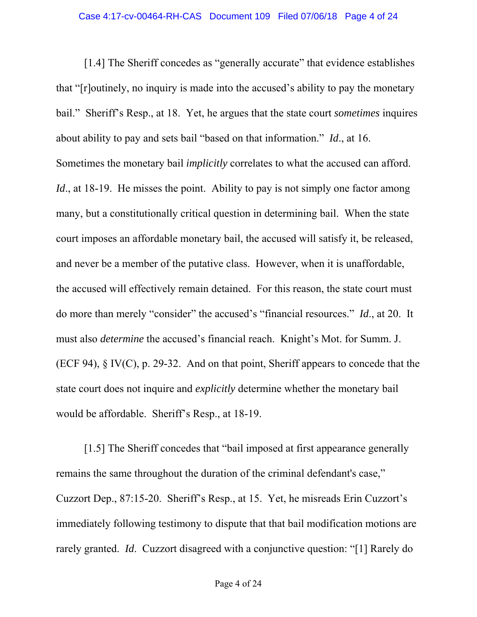[1.4] The Sheriff concedes as "generally accurate" that evidence establishes that "[r]outinely, no inquiry is made into the accused's ability to pay the monetary bail." Sheriff's Resp., at 18. Yet, he argues that the state court *sometimes* inquires about ability to pay and sets bail "based on that information." *Id*., at 16. Sometimes the monetary bail *implicitly* correlates to what the accused can afford. *Id.*, at 18-19. He misses the point. Ability to pay is not simply one factor among many, but a constitutionally critical question in determining bail. When the state court imposes an affordable monetary bail, the accused will satisfy it, be released, and never be a member of the putative class. However, when it is unaffordable, the accused will effectively remain detained. For this reason, the state court must do more than merely "consider" the accused's "financial resources." *Id*., at 20. It must also *determine* the accused's financial reach. Knight's Mot. for Summ. J. (ECF 94), § IV(C), p. 29-32. And on that point, Sheriff appears to concede that the state court does not inquire and *explicitly* determine whether the monetary bail would be affordable. Sheriff's Resp., at 18-19.

[1.5] The Sheriff concedes that "bail imposed at first appearance generally remains the same throughout the duration of the criminal defendant's case," Cuzzort Dep., 87:15-20. Sheriff's Resp., at 15. Yet, he misreads Erin Cuzzort's immediately following testimony to dispute that that bail modification motions are rarely granted. *Id*. Cuzzort disagreed with a conjunctive question: "[1] Rarely do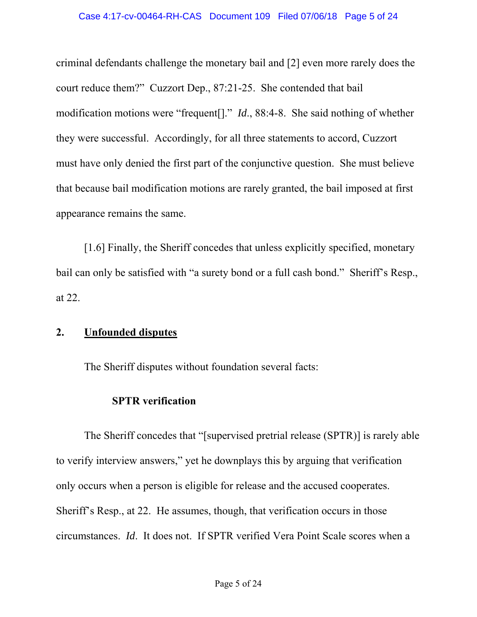criminal defendants challenge the monetary bail and [2] even more rarely does the court reduce them?" Cuzzort Dep., 87:21-25. She contended that bail modification motions were "frequent[]." *Id*., 88:4-8. She said nothing of whether they were successful. Accordingly, for all three statements to accord, Cuzzort must have only denied the first part of the conjunctive question. She must believe that because bail modification motions are rarely granted, the bail imposed at first appearance remains the same.

[1.6] Finally, the Sheriff concedes that unless explicitly specified, monetary bail can only be satisfied with "a surety bond or a full cash bond." Sheriff's Resp., at 22.

## **2. Unfounded disputes**

The Sheriff disputes without foundation several facts:

## **SPTR verification**

The Sheriff concedes that "[supervised pretrial release (SPTR)] is rarely able to verify interview answers," yet he downplays this by arguing that verification only occurs when a person is eligible for release and the accused cooperates. Sheriff's Resp., at 22. He assumes, though, that verification occurs in those circumstances. *Id*. It does not. If SPTR verified Vera Point Scale scores when a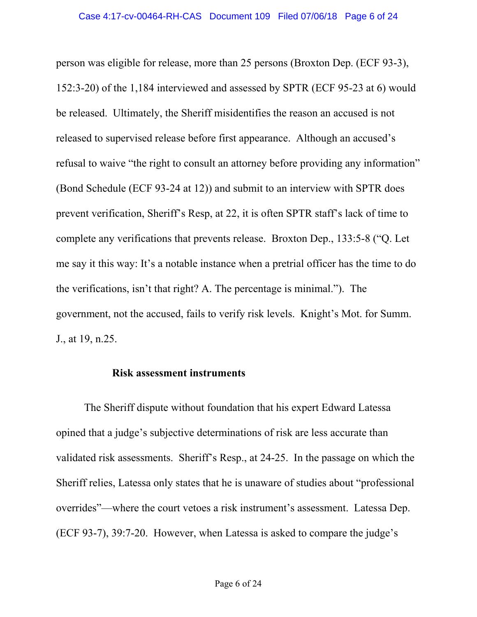person was eligible for release, more than 25 persons (Broxton Dep. (ECF 93-3), 152:3-20) of the 1,184 interviewed and assessed by SPTR (ECF 95-23 at 6) would be released. Ultimately, the Sheriff misidentifies the reason an accused is not released to supervised release before first appearance. Although an accused's refusal to waive "the right to consult an attorney before providing any information" (Bond Schedule (ECF 93-24 at 12)) and submit to an interview with SPTR does prevent verification, Sheriff's Resp, at 22, it is often SPTR staff's lack of time to complete any verifications that prevents release. Broxton Dep., 133:5-8 ("Q. Let me say it this way: It's a notable instance when a pretrial officer has the time to do the verifications, isn't that right? A. The percentage is minimal."). The government, not the accused, fails to verify risk levels. Knight's Mot. for Summ. J., at 19, n.25.

#### **Risk assessment instruments**

The Sheriff dispute without foundation that his expert Edward Latessa opined that a judge's subjective determinations of risk are less accurate than validated risk assessments. Sheriff's Resp., at 24-25. In the passage on which the Sheriff relies, Latessa only states that he is unaware of studies about "professional overrides"—where the court vetoes a risk instrument's assessment. Latessa Dep. (ECF 93-7), 39:7-20. However, when Latessa is asked to compare the judge's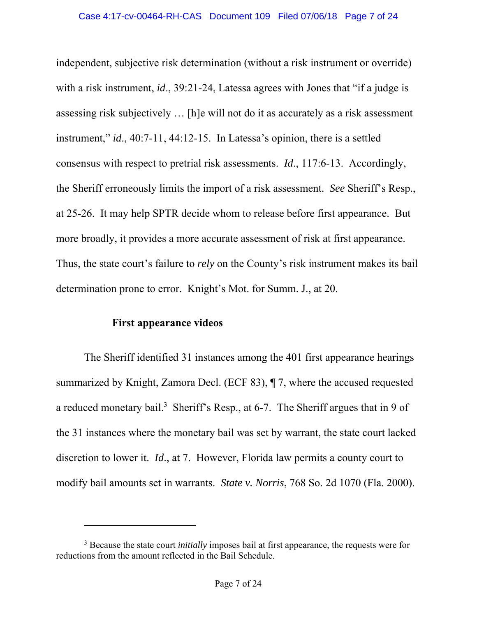independent, subjective risk determination (without a risk instrument or override) with a risk instrument, *id*., 39:21-24, Latessa agrees with Jones that "if a judge is assessing risk subjectively … [h]e will not do it as accurately as a risk assessment instrument," *id*., 40:7-11, 44:12-15. In Latessa's opinion, there is a settled consensus with respect to pretrial risk assessments. *Id*., 117:6-13. Accordingly, the Sheriff erroneously limits the import of a risk assessment. *See* Sheriff's Resp., at 25-26. It may help SPTR decide whom to release before first appearance. But more broadly, it provides a more accurate assessment of risk at first appearance. Thus, the state court's failure to *rely* on the County's risk instrument makes its bail determination prone to error. Knight's Mot. for Summ. J., at 20.

## **First appearance videos**

 $\overline{a}$ 

The Sheriff identified 31 instances among the 401 first appearance hearings summarized by Knight, Zamora Decl. (ECF 83), ¶ 7, where the accused requested a reduced monetary bail.<sup>3</sup> Sheriff's Resp., at 6-7. The Sheriff argues that in 9 of the 31 instances where the monetary bail was set by warrant, the state court lacked discretion to lower it. *Id*., at 7. However, Florida law permits a county court to modify bail amounts set in warrants. *State v. Norris*, 768 So. 2d 1070 (Fla. 2000).

<sup>3</sup> Because the state court *initially* imposes bail at first appearance, the requests were for reductions from the amount reflected in the Bail Schedule.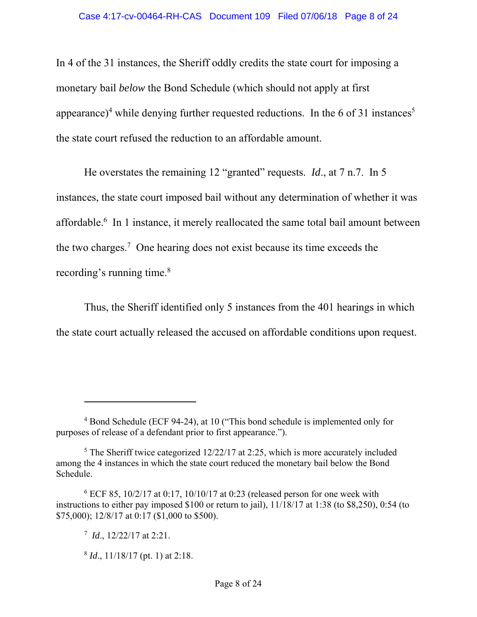In 4 of the 31 instances, the Sheriff oddly credits the state court for imposing a monetary bail *below* the Bond Schedule (which should not apply at first appearance)<sup>4</sup> while denying further requested reductions. In the 6 of 31 instances<sup>5</sup> the state court refused the reduction to an affordable amount.

He overstates the remaining 12 "granted" requests. *Id*., at 7 n.7. In 5 instances, the state court imposed bail without any determination of whether it was affordable.<sup>6</sup> In 1 instance, it merely reallocated the same total bail amount between the two charges.7 One hearing does not exist because its time exceeds the recording's running time. $8$ 

Thus, the Sheriff identified only 5 instances from the 401 hearings in which the state court actually released the accused on affordable conditions upon request.

 $\overline{a}$ 

<sup>&</sup>lt;sup>4</sup> Bond Schedule (ECF 94-24), at 10 ("This bond schedule is implemented only for purposes of release of a defendant prior to first appearance.").

 $5$  The Sheriff twice categorized 12/22/17 at 2:25, which is more accurately included among the 4 instances in which the state court reduced the monetary bail below the Bond Schedule.

 $6$  ECF 85, 10/2/17 at 0:17, 10/10/17 at 0:23 (released person for one week with instructions to either pay imposed \$100 or return to jail), 11/18/17 at 1:38 (to \$8,250), 0:54 (to \$75,000); 12/8/17 at 0:17 (\$1,000 to \$500).

<sup>7</sup> *Id*., 12/22/17 at 2:21.

<sup>8</sup> *Id*., 11/18/17 (pt. 1) at 2:18.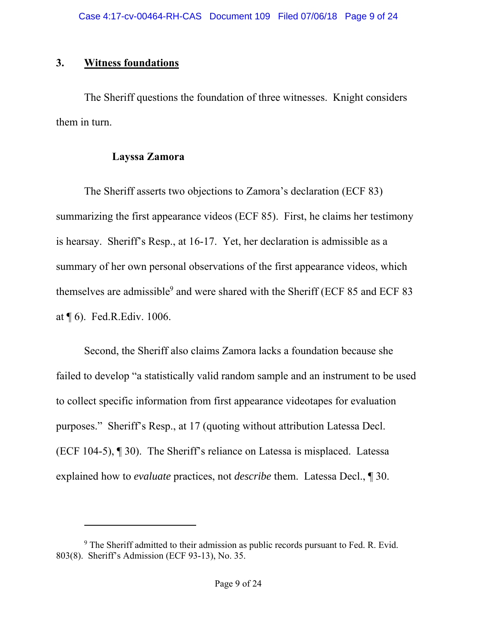## **3. Witness foundations**

 $\overline{a}$ 

The Sheriff questions the foundation of three witnesses. Knight considers them in turn.

## **Layssa Zamora**

The Sheriff asserts two objections to Zamora's declaration (ECF 83) summarizing the first appearance videos (ECF 85). First, he claims her testimony is hearsay. Sheriff's Resp., at 16-17. Yet, her declaration is admissible as a summary of her own personal observations of the first appearance videos, which themselves are admissible<sup>9</sup> and were shared with the Sheriff (ECF 85 and ECF 83 at ¶ 6). Fed.R.Ediv. 1006.

Second, the Sheriff also claims Zamora lacks a foundation because she failed to develop "a statistically valid random sample and an instrument to be used to collect specific information from first appearance videotapes for evaluation purposes." Sheriff's Resp., at 17 (quoting without attribution Latessa Decl. (ECF 104-5), ¶ 30). The Sheriff's reliance on Latessa is misplaced. Latessa explained how to *evaluate* practices, not *describe* them. Latessa Decl., ¶ 30.

 $9$  The Sheriff admitted to their admission as public records pursuant to Fed. R. Evid. 803(8). Sheriff's Admission (ECF 93-13), No. 35.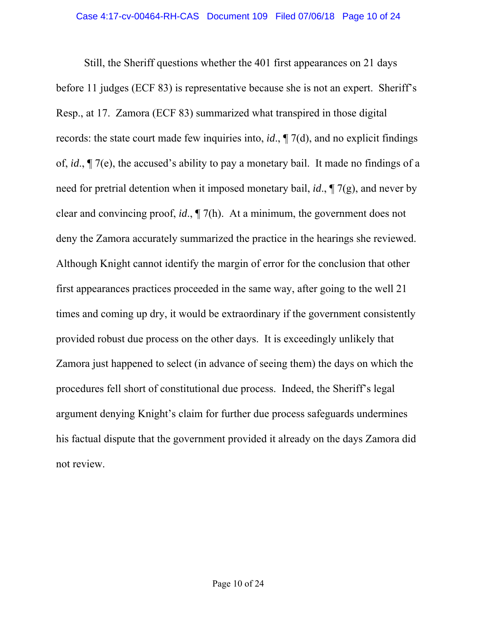Still, the Sheriff questions whether the 401 first appearances on 21 days before 11 judges (ECF 83) is representative because she is not an expert. Sheriff's Resp., at 17. Zamora (ECF 83) summarized what transpired in those digital records: the state court made few inquiries into, *id*., ¶ 7(d), and no explicit findings of, *id*., ¶ 7(e), the accused's ability to pay a monetary bail. It made no findings of a need for pretrial detention when it imposed monetary bail, *id*., ¶ 7(g), and never by clear and convincing proof, *id*., ¶ 7(h). At a minimum, the government does not deny the Zamora accurately summarized the practice in the hearings she reviewed. Although Knight cannot identify the margin of error for the conclusion that other first appearances practices proceeded in the same way, after going to the well 21 times and coming up dry, it would be extraordinary if the government consistently provided robust due process on the other days. It is exceedingly unlikely that Zamora just happened to select (in advance of seeing them) the days on which the procedures fell short of constitutional due process. Indeed, the Sheriff's legal argument denying Knight's claim for further due process safeguards undermines his factual dispute that the government provided it already on the days Zamora did not review.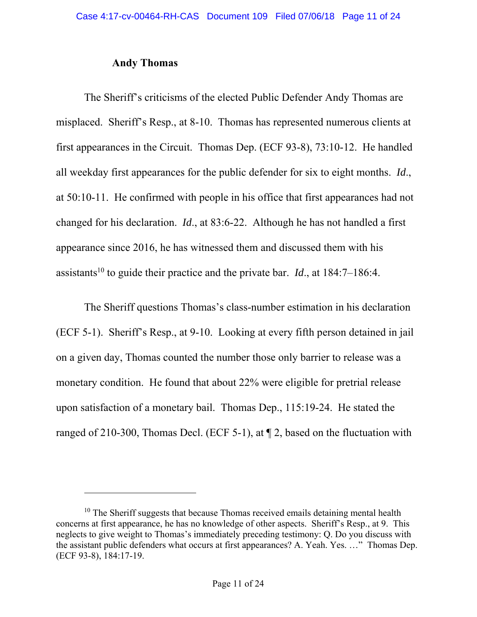#### **Andy Thomas**

l

The Sheriff's criticisms of the elected Public Defender Andy Thomas are misplaced. Sheriff's Resp., at 8-10. Thomas has represented numerous clients at first appearances in the Circuit. Thomas Dep. (ECF 93-8), 73:10-12. He handled all weekday first appearances for the public defender for six to eight months. *Id*., at 50:10-11. He confirmed with people in his office that first appearances had not changed for his declaration. *Id*., at 83:6-22. Although he has not handled a first appearance since 2016, he has witnessed them and discussed them with his assistants<sup>10</sup> to guide their practice and the private bar. *Id.*, at  $184:7-186:4$ .

The Sheriff questions Thomas's class-number estimation in his declaration (ECF 5-1). Sheriff's Resp., at 9-10. Looking at every fifth person detained in jail on a given day, Thomas counted the number those only barrier to release was a monetary condition. He found that about 22% were eligible for pretrial release upon satisfaction of a monetary bail. Thomas Dep., 115:19-24. He stated the ranged of 210-300, Thomas Decl. (ECF 5-1), at ¶ 2, based on the fluctuation with

 $10$  The Sheriff suggests that because Thomas received emails detaining mental health concerns at first appearance, he has no knowledge of other aspects. Sheriff's Resp., at 9. This neglects to give weight to Thomas's immediately preceding testimony: Q. Do you discuss with the assistant public defenders what occurs at first appearances? A. Yeah. Yes. …" Thomas Dep. (ECF 93-8), 184:17-19.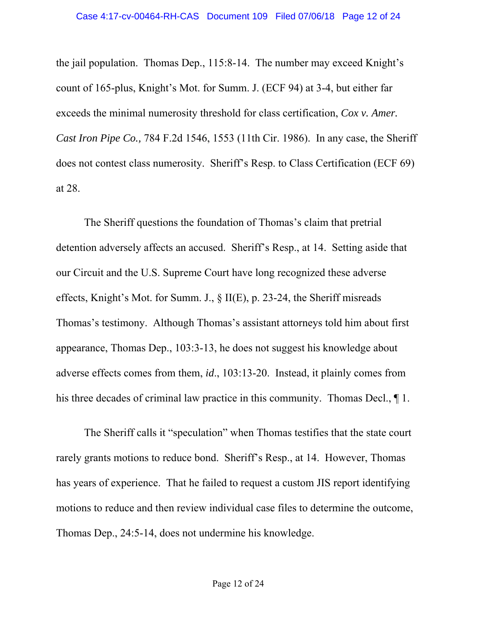the jail population. Thomas Dep., 115:8-14. The number may exceed Knight's count of 165-plus, Knight's Mot. for Summ. J. (ECF 94) at 3-4, but either far exceeds the minimal numerosity threshold for class certification, *Cox v. Amer. Cast Iron Pipe Co.,* 784 F.2d 1546, 1553 (11th Cir. 1986). In any case, the Sheriff does not contest class numerosity. Sheriff's Resp. to Class Certification (ECF 69) at 28.

The Sheriff questions the foundation of Thomas's claim that pretrial detention adversely affects an accused. Sheriff's Resp., at 14. Setting aside that our Circuit and the U.S. Supreme Court have long recognized these adverse effects, Knight's Mot. for Summ. J., § II(E), p. 23-24, the Sheriff misreads Thomas's testimony. Although Thomas's assistant attorneys told him about first appearance, Thomas Dep., 103:3-13, he does not suggest his knowledge about adverse effects comes from them, *id*., 103:13-20. Instead, it plainly comes from his three decades of criminal law practice in this community. Thomas Decl.,  $\P$  1.

The Sheriff calls it "speculation" when Thomas testifies that the state court rarely grants motions to reduce bond. Sheriff's Resp., at 14. However, Thomas has years of experience. That he failed to request a custom JIS report identifying motions to reduce and then review individual case files to determine the outcome, Thomas Dep., 24:5-14, does not undermine his knowledge.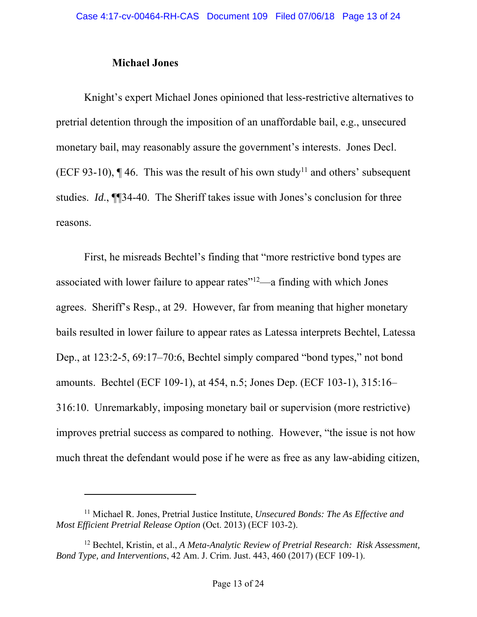### **Michael Jones**

l

Knight's expert Michael Jones opinioned that less-restrictive alternatives to pretrial detention through the imposition of an unaffordable bail, e.g., unsecured monetary bail, may reasonably assure the government's interests. Jones Decl. (ECF 93-10),  $\P$  46. This was the result of his own study<sup>11</sup> and others' subsequent studies. *Id*., ¶¶34-40. The Sheriff takes issue with Jones's conclusion for three reasons.

First, he misreads Bechtel's finding that "more restrictive bond types are associated with lower failure to appear rates"12—a finding with which Jones agrees. Sheriff's Resp., at 29. However, far from meaning that higher monetary bails resulted in lower failure to appear rates as Latessa interprets Bechtel, Latessa Dep., at 123:2-5, 69:17–70:6, Bechtel simply compared "bond types," not bond amounts. Bechtel (ECF 109-1), at 454, n.5; Jones Dep. (ECF 103-1), 315:16– 316:10. Unremarkably, imposing monetary bail or supervision (more restrictive) improves pretrial success as compared to nothing. However, "the issue is not how much threat the defendant would pose if he were as free as any law-abiding citizen,

<sup>11</sup> Michael R. Jones, Pretrial Justice Institute, *Unsecured Bonds: The As Effective and Most Efficient Pretrial Release Option* (Oct. 2013) (ECF 103-2).

<sup>12</sup> Bechtel, Kristin, et al., *A Meta-Analytic Review of Pretrial Research: Risk Assessment, Bond Type, and Interventions*, 42 Am. J. Crim. Just. 443, 460 (2017) (ECF 109-1).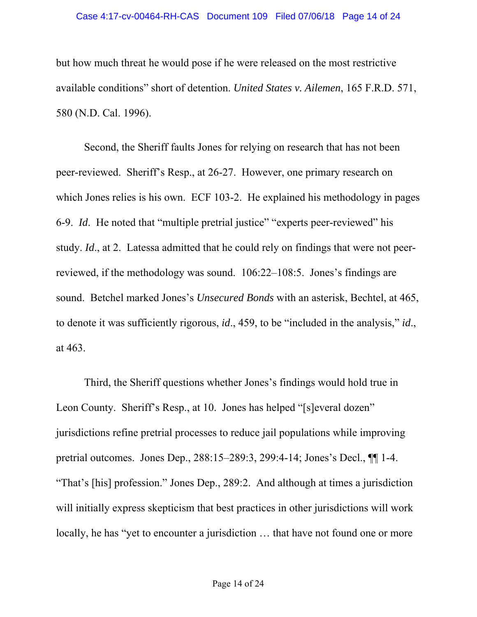#### Case 4:17-cv-00464-RH-CAS Document 109 Filed 07/06/18 Page 14 of 24

but how much threat he would pose if he were released on the most restrictive available conditions" short of detention. *United States v. Ailemen*, 165 F.R.D. 571, 580 (N.D. Cal. 1996).

Second, the Sheriff faults Jones for relying on research that has not been peer-reviewed. Sheriff's Resp., at 26-27. However, one primary research on which Jones relies is his own. ECF 103-2. He explained his methodology in pages 6-9. *Id*. He noted that "multiple pretrial justice" "experts peer-reviewed" his study. *Id*., at 2. Latessa admitted that he could rely on findings that were not peerreviewed, if the methodology was sound. 106:22–108:5. Jones's findings are sound. Betchel marked Jones's *Unsecured Bonds* with an asterisk, Bechtel, at 465, to denote it was sufficiently rigorous, *id*., 459, to be "included in the analysis," *id*., at 463.

Third, the Sheriff questions whether Jones's findings would hold true in Leon County. Sheriff's Resp., at 10. Jones has helped "[s]everal dozen" jurisdictions refine pretrial processes to reduce jail populations while improving pretrial outcomes. Jones Dep., 288:15–289:3, 299:4-14; Jones's Decl., ¶¶ 1-4. "That's [his] profession." Jones Dep., 289:2. And although at times a jurisdiction will initially express skepticism that best practices in other jurisdictions will work locally, he has "yet to encounter a jurisdiction … that have not found one or more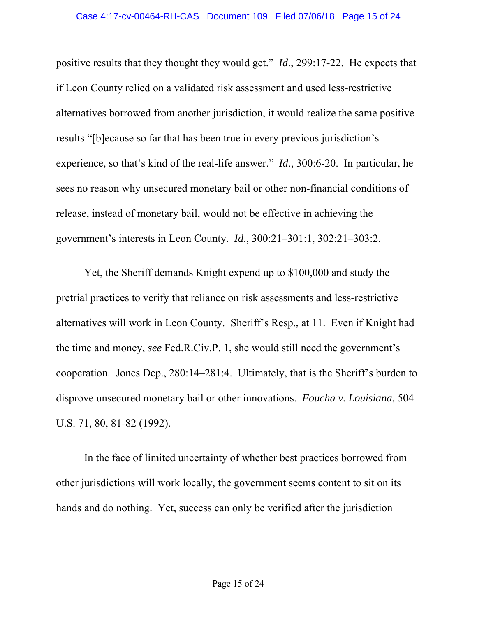positive results that they thought they would get." *Id*., 299:17-22. He expects that if Leon County relied on a validated risk assessment and used less-restrictive alternatives borrowed from another jurisdiction, it would realize the same positive results "[b]ecause so far that has been true in every previous jurisdiction's experience, so that's kind of the real-life answer." *Id*., 300:6-20. In particular, he sees no reason why unsecured monetary bail or other non-financial conditions of release, instead of monetary bail, would not be effective in achieving the government's interests in Leon County. *Id*., 300:21–301:1, 302:21–303:2.

Yet, the Sheriff demands Knight expend up to \$100,000 and study the pretrial practices to verify that reliance on risk assessments and less-restrictive alternatives will work in Leon County. Sheriff's Resp., at 11. Even if Knight had the time and money, *see* Fed.R.Civ.P. 1, she would still need the government's cooperation. Jones Dep., 280:14–281:4. Ultimately, that is the Sheriff's burden to disprove unsecured monetary bail or other innovations. *Foucha v. Louisiana*, 504 U.S. 71, 80, 81-82 (1992).

In the face of limited uncertainty of whether best practices borrowed from other jurisdictions will work locally, the government seems content to sit on its hands and do nothing. Yet, success can only be verified after the jurisdiction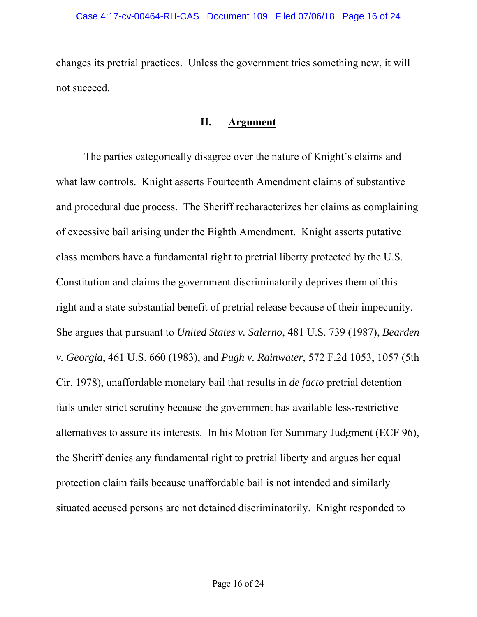changes its pretrial practices. Unless the government tries something new, it will not succeed.

### **II. Argument**

The parties categorically disagree over the nature of Knight's claims and what law controls. Knight asserts Fourteenth Amendment claims of substantive and procedural due process. The Sheriff recharacterizes her claims as complaining of excessive bail arising under the Eighth Amendment. Knight asserts putative class members have a fundamental right to pretrial liberty protected by the U.S. Constitution and claims the government discriminatorily deprives them of this right and a state substantial benefit of pretrial release because of their impecunity. She argues that pursuant to *United States v. Salerno*, 481 U.S. 739 (1987), *Bearden v. Georgia*, 461 U.S. 660 (1983), and *Pugh v. Rainwater*, 572 F.2d 1053, 1057 (5th Cir. 1978), unaffordable monetary bail that results in *de facto* pretrial detention fails under strict scrutiny because the government has available less-restrictive alternatives to assure its interests. In his Motion for Summary Judgment (ECF 96), the Sheriff denies any fundamental right to pretrial liberty and argues her equal protection claim fails because unaffordable bail is not intended and similarly situated accused persons are not detained discriminatorily. Knight responded to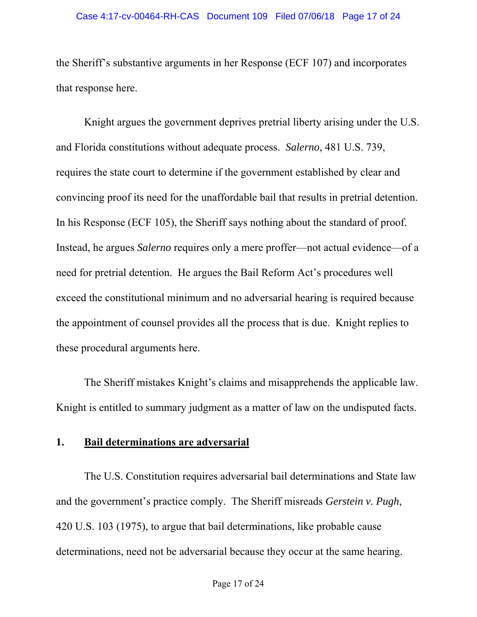#### Case 4:17-cv-00464-RH-CAS Document 109 Filed 07/06/18 Page 17 of 24

the Sheriff's substantive arguments in her Response (ECF 107) and incorporates that response here.

Knight argues the government deprives pretrial liberty arising under the U.S. and Florida constitutions without adequate process. *Salerno*, 481 U.S. 739, requires the state court to determine if the government established by clear and convincing proof its need for the unaffordable bail that results in pretrial detention. In his Response (ECF 105), the Sheriff says nothing about the standard of proof. Instead, he argues *Salerno* requires only a mere proffer—not actual evidence—of a need for pretrial detention. He argues the Bail Reform Act's procedures well exceed the constitutional minimum and no adversarial hearing is required because the appointment of counsel provides all the process that is due. Knight replies to these procedural arguments here.

The Sheriff mistakes Knight's claims and misapprehends the applicable law. Knight is entitled to summary judgment as a matter of law on the undisputed facts.

### **1. Bail determinations are adversarial**

The U.S. Constitution requires adversarial bail determinations and State law and the government's practice comply. The Sheriff misreads *Gerstein v. Pugh*, 420 U.S. 103 (1975), to argue that bail determinations, like probable cause determinations, need not be adversarial because they occur at the same hearing.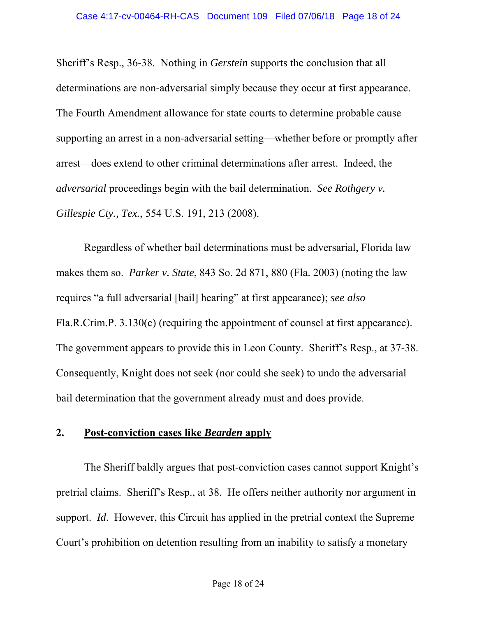Sheriff's Resp., 36-38. Nothing in *Gerstein* supports the conclusion that all determinations are non-adversarial simply because they occur at first appearance. The Fourth Amendment allowance for state courts to determine probable cause supporting an arrest in a non-adversarial setting—whether before or promptly after arrest—does extend to other criminal determinations after arrest. Indeed, the *adversarial* proceedings begin with the bail determination. *See Rothgery v. Gillespie Cty., Tex.*, 554 U.S. 191, 213 (2008).

Regardless of whether bail determinations must be adversarial, Florida law makes them so. *Parker v. State*, 843 So. 2d 871, 880 (Fla. 2003) (noting the law requires "a full adversarial [bail] hearing" at first appearance); *see also* Fla.R.Crim.P. 3.130(c) (requiring the appointment of counsel at first appearance). The government appears to provide this in Leon County. Sheriff's Resp., at 37-38. Consequently, Knight does not seek (nor could she seek) to undo the adversarial bail determination that the government already must and does provide.

## **2. Post-conviction cases like** *Bearden* **apply**

The Sheriff baldly argues that post-conviction cases cannot support Knight's pretrial claims. Sheriff's Resp., at 38. He offers neither authority nor argument in support. *Id*. However, this Circuit has applied in the pretrial context the Supreme Court's prohibition on detention resulting from an inability to satisfy a monetary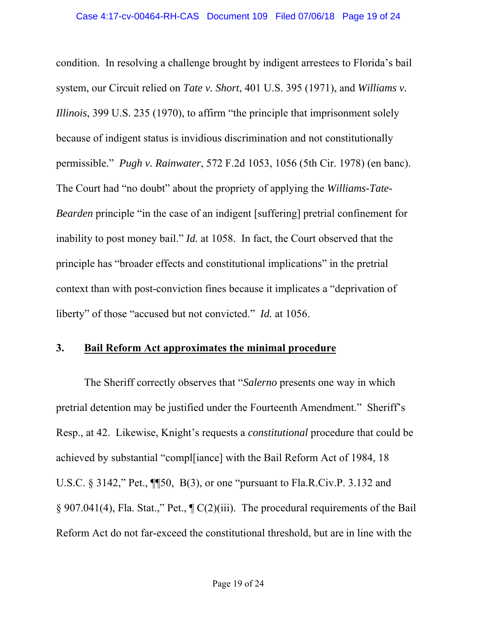condition. In resolving a challenge brought by indigent arrestees to Florida's bail system, our Circuit relied on *Tate v. Short*, 401 U.S. 395 (1971), and *Williams v. Illinois*, 399 U.S. 235 (1970), to affirm "the principle that imprisonment solely because of indigent status is invidious discrimination and not constitutionally permissible." *Pugh v. Rainwater*, 572 F.2d 1053, 1056 (5th Cir. 1978) (en banc). The Court had "no doubt" about the propriety of applying the *Williams-Tate-Bearden* principle "in the case of an indigent [suffering] pretrial confinement for inability to post money bail." *Id.* at 1058. In fact, the Court observed that the principle has "broader effects and constitutional implications" in the pretrial context than with post-conviction fines because it implicates a "deprivation of liberty" of those "accused but not convicted." *Id.* at 1056.

## **3. Bail Reform Act approximates the minimal procedure**

The Sheriff correctly observes that "*Salerno* presents one way in which pretrial detention may be justified under the Fourteenth Amendment." Sheriff's Resp., at 42. Likewise, Knight's requests a *constitutional* procedure that could be achieved by substantial "compl[iance] with the Bail Reform Act of 1984, 18 U.S.C. § 3142," Pet., ¶¶50, B(3), or one "pursuant to Fla.R.Civ.P. 3.132 and § 907.041(4), Fla. Stat.," Pet., ¶ C(2)(iii). The procedural requirements of the Bail Reform Act do not far-exceed the constitutional threshold, but are in line with the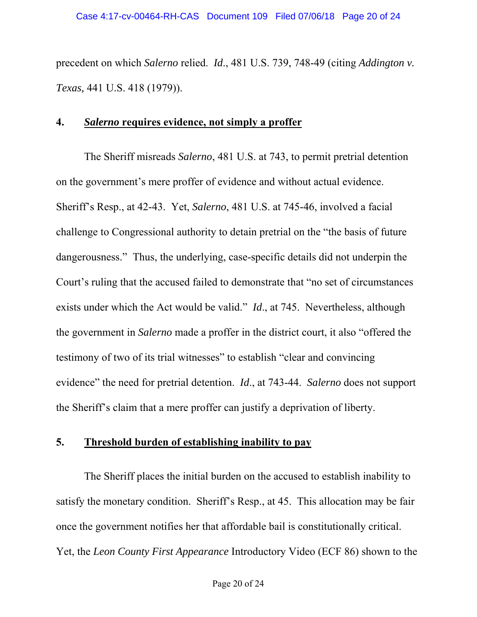precedent on which *Salerno* relied. *Id*., 481 U.S. 739, 748-49 (citing *Addington v. Texas,* 441 U.S. 418 (1979)).

### **4.** *Salerno* **requires evidence, not simply a proffer**

The Sheriff misreads *Salerno*, 481 U.S. at 743, to permit pretrial detention on the government's mere proffer of evidence and without actual evidence. Sheriff's Resp., at 42-43. Yet, *Salerno*, 481 U.S. at 745-46, involved a facial challenge to Congressional authority to detain pretrial on the "the basis of future dangerousness." Thus, the underlying, case-specific details did not underpin the Court's ruling that the accused failed to demonstrate that "no set of circumstances exists under which the Act would be valid." *Id*., at 745. Nevertheless, although the government in *Salerno* made a proffer in the district court, it also "offered the testimony of two of its trial witnesses" to establish "clear and convincing evidence" the need for pretrial detention. *Id*., at 743-44. *Salerno* does not support the Sheriff's claim that a mere proffer can justify a deprivation of liberty.

## **5. Threshold burden of establishing inability to pay**

The Sheriff places the initial burden on the accused to establish inability to satisfy the monetary condition. Sheriff's Resp., at 45. This allocation may be fair once the government notifies her that affordable bail is constitutionally critical. Yet, the *Leon County First Appearance* Introductory Video (ECF 86) shown to the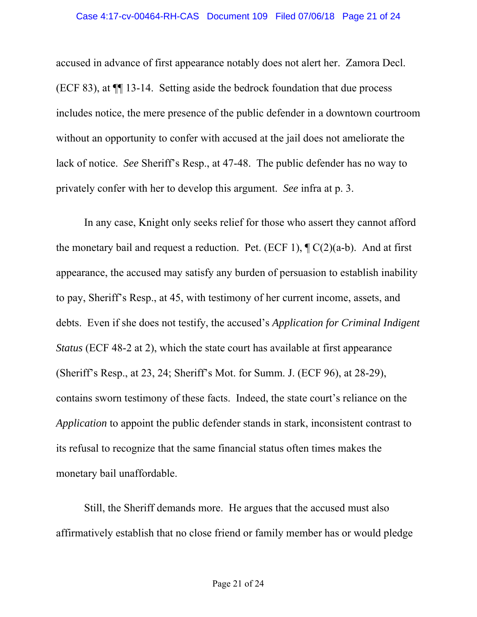accused in advance of first appearance notably does not alert her. Zamora Decl. (ECF 83), at ¶¶ 13-14. Setting aside the bedrock foundation that due process includes notice, the mere presence of the public defender in a downtown courtroom without an opportunity to confer with accused at the jail does not ameliorate the lack of notice. *See* Sheriff's Resp., at 47-48. The public defender has no way to privately confer with her to develop this argument. *See* infra at p. 3.

In any case, Knight only seeks relief for those who assert they cannot afford the monetary bail and request a reduction. Pet. (ECF 1),  $\P C(2)(a-b)$ . And at first appearance, the accused may satisfy any burden of persuasion to establish inability to pay, Sheriff's Resp., at 45, with testimony of her current income, assets, and debts. Even if she does not testify, the accused's *Application for Criminal Indigent Status* (ECF 48-2 at 2), which the state court has available at first appearance (Sheriff's Resp., at 23, 24; Sheriff's Mot. for Summ. J. (ECF 96), at 28-29), contains sworn testimony of these facts. Indeed, the state court's reliance on the *Application* to appoint the public defender stands in stark, inconsistent contrast to its refusal to recognize that the same financial status often times makes the monetary bail unaffordable.

Still, the Sheriff demands more. He argues that the accused must also affirmatively establish that no close friend or family member has or would pledge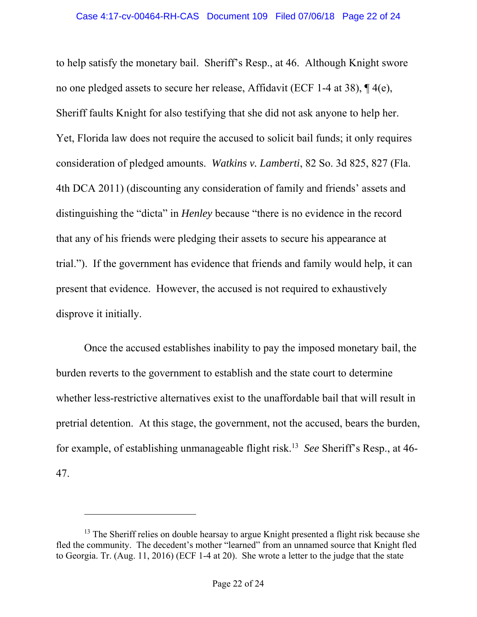to help satisfy the monetary bail. Sheriff's Resp., at 46. Although Knight swore no one pledged assets to secure her release, Affidavit (ECF 1-4 at 38), ¶ 4(e), Sheriff faults Knight for also testifying that she did not ask anyone to help her. Yet, Florida law does not require the accused to solicit bail funds; it only requires consideration of pledged amounts. *Watkins v. Lamberti*, 82 So. 3d 825, 827 (Fla. 4th DCA 2011) (discounting any consideration of family and friends' assets and distinguishing the "dicta" in *Henley* because "there is no evidence in the record that any of his friends were pledging their assets to secure his appearance at trial."). If the government has evidence that friends and family would help, it can present that evidence. However, the accused is not required to exhaustively disprove it initially.

Once the accused establishes inability to pay the imposed monetary bail, the burden reverts to the government to establish and the state court to determine whether less-restrictive alternatives exist to the unaffordable bail that will result in pretrial detention. At this stage, the government, not the accused, bears the burden, for example, of establishing unmanageable flight risk.13 *See* Sheriff's Resp., at 46-

47.

 $\overline{a}$ 

<sup>&</sup>lt;sup>13</sup> The Sheriff relies on double hearsay to argue Knight presented a flight risk because she fled the community. The decedent's mother "learned" from an unnamed source that Knight fled to Georgia. Tr. (Aug. 11, 2016) (ECF 1-4 at 20). She wrote a letter to the judge that the state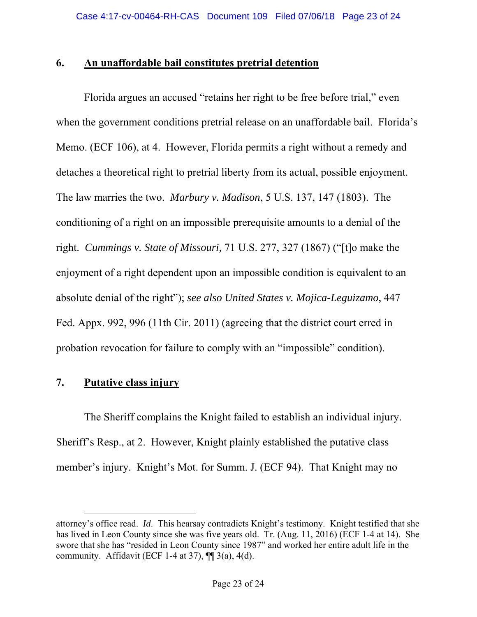## **6. An unaffordable bail constitutes pretrial detention**

Florida argues an accused "retains her right to be free before trial," even when the government conditions pretrial release on an unaffordable bail. Florida's Memo. (ECF 106), at 4. However, Florida permits a right without a remedy and detaches a theoretical right to pretrial liberty from its actual, possible enjoyment. The law marries the two. *Marbury v. Madison*, 5 U.S. 137, 147 (1803).The conditioning of a right on an impossible prerequisite amounts to a denial of the right. *Cummings v. State of Missouri,* 71 U.S. 277, 327 (1867) ("[t]o make the enjoyment of a right dependent upon an impossible condition is equivalent to an absolute denial of the right"); *see also United States v. Mojica-Leguizamo*, 447 Fed. Appx. 992, 996 (11th Cir. 2011) (agreeing that the district court erred in probation revocation for failure to comply with an "impossible" condition).

# **7. Putative class injury**

l

The Sheriff complains the Knight failed to establish an individual injury. Sheriff's Resp., at 2. However, Knight plainly established the putative class member's injury. Knight's Mot. for Summ. J. (ECF 94). That Knight may no

attorney's office read. *Id*. This hearsay contradicts Knight's testimony. Knight testified that she has lived in Leon County since she was five years old. Tr. (Aug. 11, 2016) (ECF 1-4 at 14). She swore that she has "resided in Leon County since 1987" and worked her entire adult life in the community. Affidavit (ECF 1-4 at 37),  $\P$  3(a), 4(d).